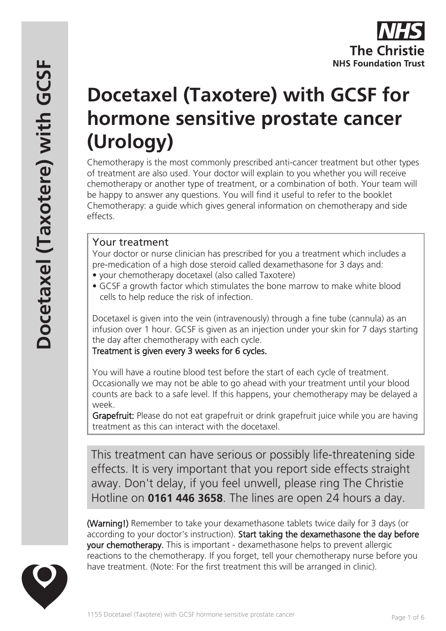# **Docetaxel (Taxotere) with GCSF for hormone sensitive prostate cancer (Urology)**

Chemotherapy is the most commonly prescribed anti-cancer treatment but other types of treatment are also used. Your doctor will explain to you whether you will receive chemotherapy or another type of treatment, or a combination of both. Your team will be happy to answer any questions. You will find it useful to refer to the booklet Chemotherapy: a guide which gives general information on chemotherapy and side effects.

# Your treatment

Your doctor or nurse clinician has prescribed for you a treatment which includes a pre-medication of a high dose steroid called dexamethasone for 3 days and:

- your chemotherapy docetaxel (also called Taxotere)
- GCSF a growth factor which stimulates the bone marrow to make white blood cells to help reduce the risk of infection.

Docetaxel is given into the vein (intravenously) through a fine tube (cannula) as an infusion over 1 hour. GCSF is given as an injection under your skin for 7 days starting the day after chemotherapy with each cycle.

Treatment is given every 3 weeks for 6 cycles.

You will have a routine blood test before the start of each cycle of treatment. Occasionally we may not be able to go ahead with your treatment until your blood counts are back to a safe level. If this happens, your chemotherapy may be delayed a week.

Grapefruit: Please do not eat grapefruit or drink grapefruit juice while you are having treatment as this can interact with the docetaxel.

This treatment can have serious or possibly life-threatening side effects. It is very important that you report side effects straight away. Don't delay, if you feel unwell, please ring The Christie Hotline on **0161 446 3658**. The lines are open 24 hours a day.

(Warning!) Remember to take your dexamethasone tablets twice daily for 3 days (or according to your doctor's instruction). Start taking the dexamethasone the day before your chemotherapy. This is important - dexamethasone helps to prevent allergic reactions to the chemotherapy. If you forget, tell your chemotherapy nurse before you have treatment. (Note: For the first treatment this will be arranged in clinic).

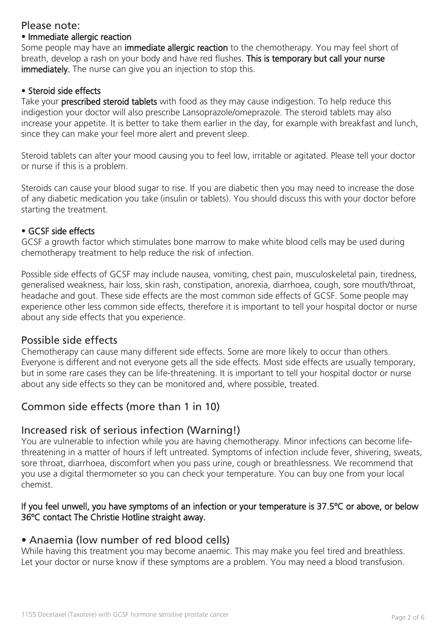# Please note:

#### • Immediate allergic reaction

Some people may have an **immediate allergic reaction** to the chemotherapy. You may feel short of breath, develop a rash on your body and have red flushes. This is temporary but call your nurse immediately. The nurse can give you an injection to stop this.

## • Steroid side effects

Take your **prescribed steroid tablets** with food as they may cause indigestion. To help reduce this indigestion your doctor will also prescribe Lansoprazole/omeprazole. The steroid tablets may also increase your appetite. It is better to take them earlier in the day, for example with breakfast and lunch, since they can make your feel more alert and prevent sleep.

Steroid tablets can alter your mood causing you to feel low, irritable or agitated. Please tell your doctor or nurse if this is a problem.

Steroids can cause your blood sugar to rise. If you are diabetic then you may need to increase the dose of any diabetic medication you take (insulin or tablets). You should discuss this with your doctor before starting the treatment.

#### • GCSF side effects

GCSF a growth factor which stimulates bone marrow to make white blood cells may be used during chemotherapy treatment to help reduce the risk of infection.

Possible side effects of GCSF may include nausea, vomiting, chest pain, musculoskeletal pain, tiredness, generalised weakness, hair loss, skin rash, constipation, anorexia, diarrhoea, cough, sore mouth/throat, headache and gout. These side effects are the most common side effects of GCSF. Some people may experience other less common side effects, therefore it is important to tell your hospital doctor or nurse about any side effects that you experience.

# Possible side effects

Chemotherapy can cause many different side effects. Some are more likely to occur than others. Everyone is different and not everyone gets all the side effects. Most side effects are usually temporary, but in some rare cases they can be life-threatening. It is important to tell your hospital doctor or nurse about any side effects so they can be monitored and, where possible, treated.

# Common side effects (more than 1 in 10)

# Increased risk of serious infection (Warning!)

You are vulnerable to infection while you are having chemotherapy. Minor infections can become lifethreatening in a matter of hours if left untreated. Symptoms of infection include fever, shivering, sweats, sore throat, diarrhoea, discomfort when you pass urine, cough or breathlessness. We recommend that you use a digital thermometer so you can check your temperature. You can buy one from your local chemist.

## If you feel unwell, you have symptoms of an infection or your temperature is 37.5ºC or above, or below 36ºC contact The Christie Hotline straight away.

# • Anaemia (low number of red blood cells)

While having this treatment you may become anaemic. This may make you feel tired and breathless. Let your doctor or nurse know if these symptoms are a problem. You may need a blood transfusion.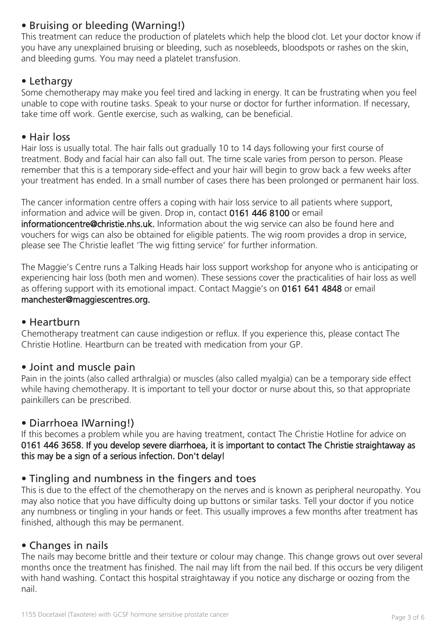# • Bruising or bleeding (Warning!)

This treatment can reduce the production of platelets which help the blood clot. Let your doctor know if you have any unexplained bruising or bleeding, such as nosebleeds, bloodspots or rashes on the skin, and bleeding gums. You may need a platelet transfusion.

# • Lethargy

Some chemotherapy may make you feel tired and lacking in energy. It can be frustrating when you feel unable to cope with routine tasks. Speak to your nurse or doctor for further information. If necessary, take time off work. Gentle exercise, such as walking, can be beneficial.

## • Hair loss

Hair loss is usually total. The hair falls out gradually 10 to 14 days following your first course of treatment. Body and facial hair can also fall out. The time scale varies from person to person. Please remember that this is a temporary side-effect and your hair will begin to grow back a few weeks after your treatment has ended. In a small number of cases there has been prolonged or permanent hair loss.

The cancer information centre offers a coping with hair loss service to all patients where support, information and advice will be given. Drop in, contact 0161 446 8100 or email informationcentre@christie.nhs.uk. Information about the wig service can also be found here and vouchers for wigs can also be obtained for eligible patients. The wig room provides a drop in service, please see The Christie leaflet 'The wig fitting service' for further information.

The Maggie's Centre runs a Talking Heads hair loss support workshop for anyone who is anticipating or experiencing hair loss (both men and women). These sessions cover the practicalities of hair loss as well as offering support with its emotional impact. Contact Maggie's on 0161 641 4848 or email manchester@maggiescentres.org.

# • Heartburn

Chemotherapy treatment can cause indigestion or reflux. If you experience this, please contact The Christie Hotline. Heartburn can be treated with medication from your GP.

# • Joint and muscle pain

Pain in the joints (also called arthralgia) or muscles (also called myalgia) can be a temporary side effect while having chemotherapy. It is important to tell your doctor or nurse about this, so that appropriate painkillers can be prescribed.

# • Diarrhoea IWarning!)

If this becomes a problem while you are having treatment, contact The Christie Hotline for advice on 0161 446 3658. If you develop severe diarrhoea, it is important to contact The Christie straightaway as this may be a sign of a serious infection. Don't delay!

# • Tingling and numbness in the fingers and toes

This is due to the effect of the chemotherapy on the nerves and is known as peripheral neuropathy. You may also notice that you have difficulty doing up buttons or similar tasks. Tell your doctor if you notice any numbness or tingling in your hands or feet. This usually improves a few months after treatment has finished, although this may be permanent.

# • Changes in nails

The nails may become brittle and their texture or colour may change. This change grows out over several months once the treatment has finished. The nail may lift from the nail bed. If this occurs be very diligent with hand washing. Contact this hospital straightaway if you notice any discharge or oozing from the nail.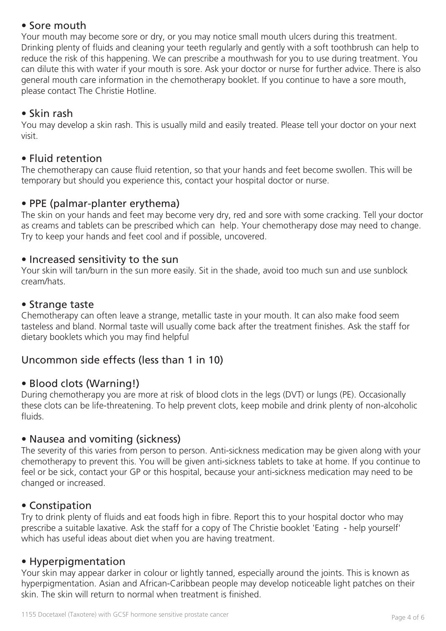# • Sore mouth

Your mouth may become sore or dry, or you may notice small mouth ulcers during this treatment. Drinking plenty of fluids and cleaning your teeth regularly and gently with a soft toothbrush can help to reduce the risk of this happening. We can prescribe a mouthwash for you to use during treatment. You can dilute this with water if your mouth is sore. Ask your doctor or nurse for further advice. There is also general mouth care information in the chemotherapy booklet. If you continue to have a sore mouth, please contact The Christie Hotline.

# • Skin rash

You may develop a skin rash. This is usually mild and easily treated. Please tell your doctor on your next visit.

# • Fluid retention

The chemotherapy can cause fluid retention, so that your hands and feet become swollen. This will be temporary but should you experience this, contact your hospital doctor or nurse.

# • PPE (palmar-planter erythema)

The skin on your hands and feet may become very dry, red and sore with some cracking. Tell your doctor as creams and tablets can be prescribed which can help. Your chemotherapy dose may need to change. Try to keep your hands and feet cool and if possible, uncovered.

## • Increased sensitivity to the sun

Your skin will tan/burn in the sun more easily. Sit in the shade, avoid too much sun and use sunblock cream/hats.

## • Strange taste

Chemotherapy can often leave a strange, metallic taste in your mouth. It can also make food seem tasteless and bland. Normal taste will usually come back after the treatment finishes. Ask the staff for dietary booklets which you may find helpful

# Uncommon side effects (less than 1 in 10)

# • Blood clots (Warning!)

During chemotherapy you are more at risk of blood clots in the legs (DVT) or lungs (PE). Occasionally these clots can be life-threatening. To help prevent clots, keep mobile and drink plenty of non-alcoholic fluids.

#### • Nausea and vomiting (sickness)

The severity of this varies from person to person. Anti-sickness medication may be given along with your chemotherapy to prevent this. You will be given anti-sickness tablets to take at home. If you continue to feel or be sick, contact your GP or this hospital, because your anti-sickness medication may need to be changed or increased.

# • Constipation

Try to drink plenty of fluids and eat foods high in fibre. Report this to your hospital doctor who may prescribe a suitable laxative. Ask the staff for a copy of The Christie booklet 'Eating - help yourself' which has useful ideas about diet when you are having treatment.

# • Hyperpigmentation

Your skin may appear darker in colour or lightly tanned, especially around the joints. This is known as hyperpigmentation. Asian and African-Caribbean people may develop noticeable light patches on their skin. The skin will return to normal when treatment is finished.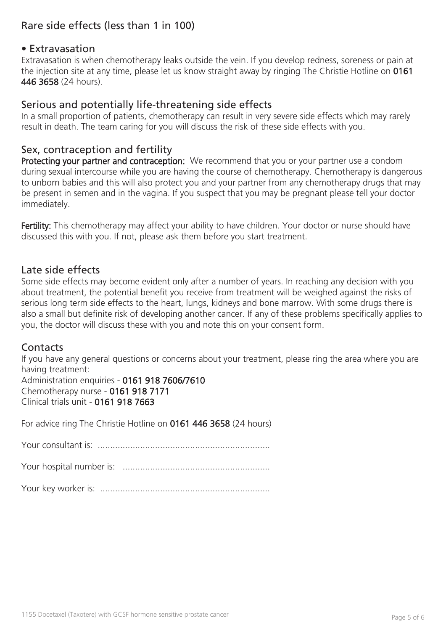# Rare side effects (less than 1 in 100)

## • Extravasation

Extravasation is when chemotherapy leaks outside the vein. If you develop redness, soreness or pain at the injection site at any time, please let us know straight away by ringing The Christie Hotline on 0161 446 3658 (24 hours).

#### Serious and potentially life-threatening side effects

In a small proportion of patients, chemotherapy can result in very severe side effects which may rarely result in death. The team caring for you will discuss the risk of these side effects with you.

## Sex, contraception and fertility

Protecting your partner and contraception: We recommend that you or your partner use a condom during sexual intercourse while you are having the course of chemotherapy. Chemotherapy is dangerous to unborn babies and this will also protect you and your partner from any chemotherapy drugs that may be present in semen and in the vagina. If you suspect that you may be pregnant please tell your doctor immediately.

Fertility: This chemotherapy may affect your ability to have children. Your doctor or nurse should have discussed this with you. If not, please ask them before you start treatment.

## Late side effects

Some side effects may become evident only after a number of years. In reaching any decision with you about treatment, the potential benefit you receive from treatment will be weighed against the risks of serious long term side effects to the heart, lungs, kidneys and bone marrow. With some drugs there is also a small but definite risk of developing another cancer. If any of these problems specifically applies to you, the doctor will discuss these with you and note this on your consent form.

#### **Contacts**

If you have any general questions or concerns about your treatment, please ring the area where you are having treatment:

Administration enquiries - 0161 918 7606/7610 Chemotherapy nurse - 0161 918 7171 Clinical trials unit - 0161 918 7663

For advice ring The Christie Hotline on 0161 446 3658 (24 hours)

Your consultant is: .....................................................................

Your hospital number is: ...........................................................

Your key worker is: ....................................................................